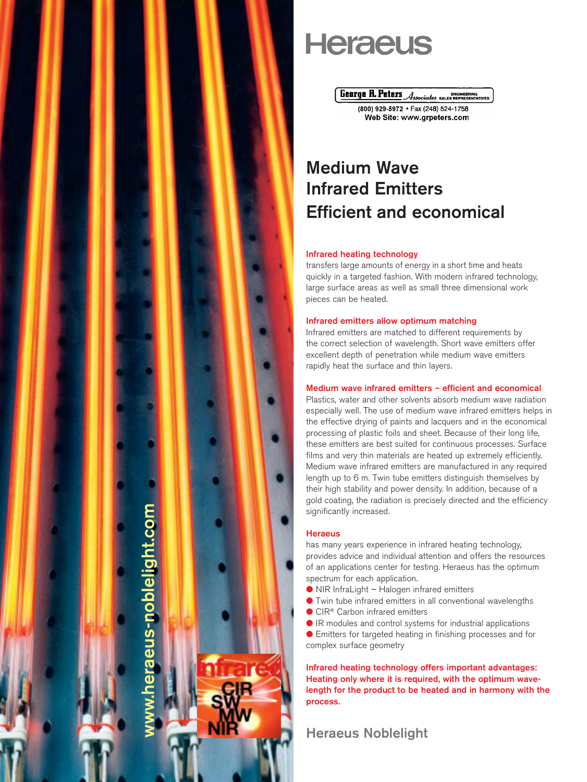

# **Heraeus**

**Genrye R. Peters Associates SALES REPRESENTATIVES** 

(800) 929-5972 · Fax (248) 524-1758 Web Site: www.grpeters.com

# Medium Wave Infrared Emitters Efficient and economical

## Infrared heating technology

transfers large amounts of energy in a short time and heats quickly in a targeted fashion. With modern infrared technology, large surface areas as well as small three dimensional work pieces can be heated.

# Infrared emitters allow optimum matching

Infrared emitters are matched to different requirements by the correct selection of wavelength. Short wave emitters offer excellent depth of penetration while medium wave emitters rapidly heat the surface and thin layers.

# Medium wave infrared emitters – efficient and economical

Plastics, water and other solvents absorb medium wave radiation especially well. The use of medium wave infrared emitters helps in the effective drying of paints and lacquers and in the economical processing of plastic foils and sheet. Because of their long life, these emitters are best suited for continuous processes. Surface films and very thin materials are heated up extremely efficiently. Medium wave infrared emitters are manufactured in any required length up to 6 m. Twin tube emitters distinguish themselves by their high stability and power density. In addition, because of a gold coating, the radiation is precisely directed and the efficiency significantly increased.

# **Heraeus**

has many years experience in infrared heating technology, provides advice and individual attention and offers the resources of an applications center for testing. Heraeus has the optimum spectrum for each application.

- NIR InfraLight Halogen infrared emitters
- Twin tube infrared emitters in all conventional wavelengths
- CIR<sup>®</sup> Carbon infrared emitters
- $\bullet$  IR modules and control systems for industrial applications
- Emitters for targeted heating in finishing processes and for complex surface geometry

Infrared heating technology offers important advantages: Heating only where it is required, with the optimum wavelength for the product to be heated and in harmony with the process.

Heraeus Noblelight